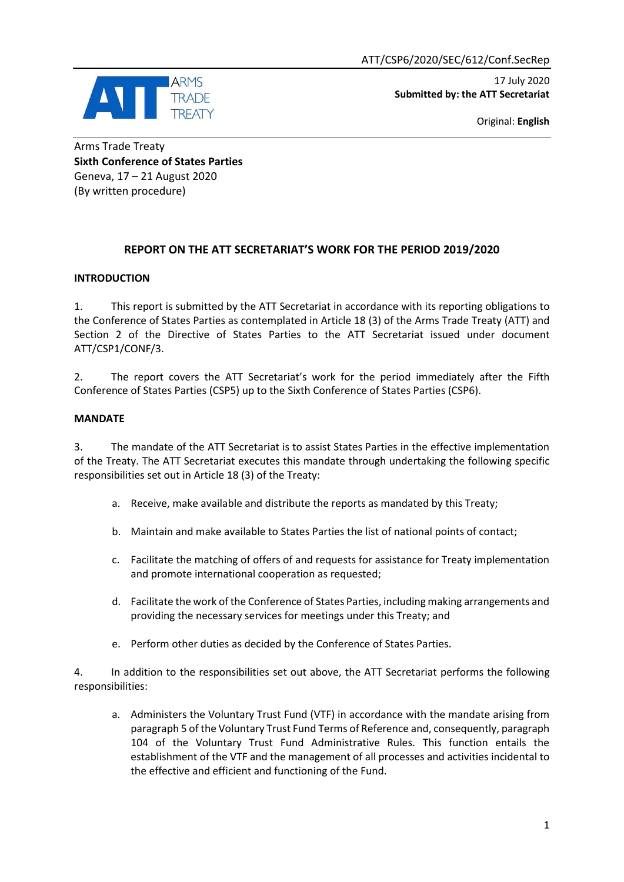

 17 July 2020 **Submitted by: the ATT Secretariat** 

Original: **English**

Arms Trade Treaty **Sixth Conference of States Parties** Geneva, 17 – 21 August 2020 (By written procedure)

# **REPORT ON THE ATT SECRETARIAT'S WORK FOR THE PERIOD 2019/2020**

## **INTRODUCTION**

1. This report is submitted by the ATT Secretariat in accordance with its reporting obligations to the Conference of States Parties as contemplated in Article 18 (3) of the Arms Trade Treaty (ATT) and Section 2 of the Directive of States Parties to the ATT Secretariat issued under document ATT/CSP1/CONF/3.

2. The report covers the ATT Secretariat's work for the period immediately after the Fifth Conference of States Parties (CSP5) up to the Sixth Conference of States Parties (CSP6).

## **MANDATE**

3. The mandate of the ATT Secretariat is to assist States Parties in the effective implementation of the Treaty. The ATT Secretariat executes this mandate through undertaking the following specific responsibilities set out in Article 18 (3) of the Treaty:

- a. Receive, make available and distribute the reports as mandated by this Treaty;
- b. Maintain and make available to States Parties the list of national points of contact;
- c. Facilitate the matching of offers of and requests for assistance for Treaty implementation and promote international cooperation as requested;
- d. Facilitate the work of the Conference of States Parties, including making arrangements and providing the necessary services for meetings under this Treaty; and
- e. Perform other duties as decided by the Conference of States Parties.

4. In addition to the responsibilities set out above, the ATT Secretariat performs the following responsibilities:

a. Administers the Voluntary Trust Fund (VTF) in accordance with the mandate arising from paragraph 5 of the Voluntary Trust Fund Terms of Reference and, consequently, paragraph 104 of the Voluntary Trust Fund Administrative Rules. This function entails the establishment of the VTF and the management of all processes and activities incidental to the effective and efficient and functioning of the Fund.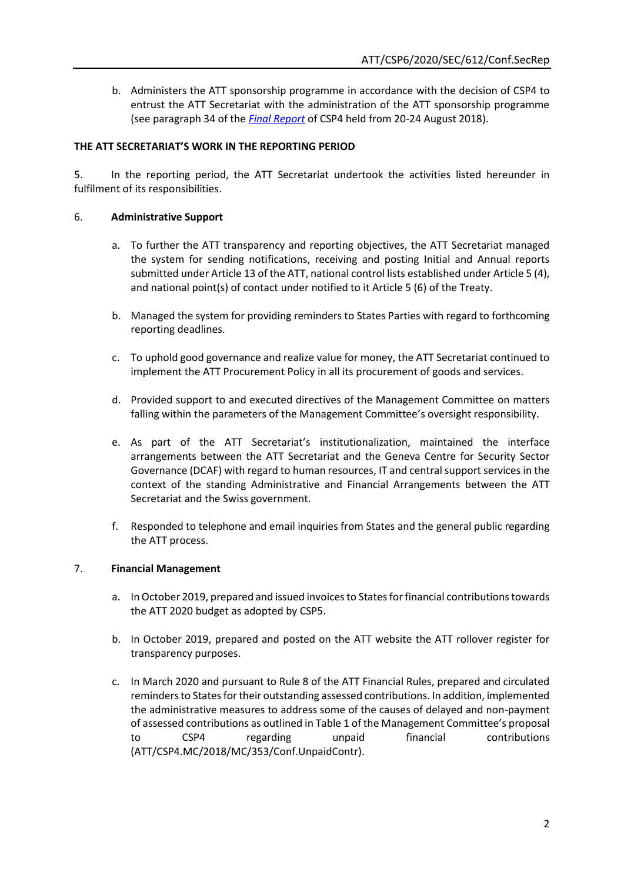b. Administers the ATT sponsorship programme in accordance with the decision of CSP4 to entrust the ATT Secretariat with the administration of the ATT sponsorship programme (see paragraph 34 of the *[Final Report](https://www.thearmstradetreaty.org/images/CSP4/CSP4_documents/CSP4_Final_Report-_August_2018_ATT_CSP4_2018_SEC_369_Conf.FinRep.Rev1.pdf)* of CSP4 held from 20-24 August 2018).

## **THE ATT SECRETARIAT'S WORK IN THE REPORTING PERIOD**

5. In the reporting period, the ATT Secretariat undertook the activities listed hereunder in fulfilment of its responsibilities.

#### 6. **Administrative Support**

- a. To further the ATT transparency and reporting objectives, the ATT Secretariat managed the system for sending notifications, receiving and posting Initial and Annual reports submitted under Article 13 of the ATT, national control lists established under Article 5 (4), and national point(s) of contact under notified to it Article 5 (6) of the Treaty.
- b. Managed the system for providing reminders to States Parties with regard to forthcoming reporting deadlines.
- c. To uphold good governance and realize value for money, the ATT Secretariat continued to implement the ATT Procurement Policy in all its procurement of goods and services.
- d. Provided support to and executed directives of the Management Committee on matters falling within the parameters of the Management Committee's oversight responsibility.
- e. As part of the ATT Secretariat's institutionalization, maintained the interface arrangements between the ATT Secretariat and the Geneva Centre for Security Sector Governance (DCAF) with regard to human resources, IT and central support services in the context of the standing Administrative and Financial Arrangements between the ATT Secretariat and the Swiss government.
- f. Responded to telephone and email inquiries from States and the general public regarding the ATT process.

#### 7. **Financial Management**

- a. In October 2019, prepared and issued invoices to States for financial contributions towards the ATT 2020 budget as adopted by CSP5.
- b. In October 2019, prepared and posted on the ATT website the ATT rollover register for transparency purposes.
- c. In March 2020 and pursuant to Rule 8 of the ATT Financial Rules, prepared and circulated reminders to States for their outstanding assessed contributions. In addition, implemented the administrative measures to address some of the causes of delayed and non-payment of assessed contributions as outlined in Table 1 of the Management Committee's proposal to CSP4 regarding unpaid financial contributions (ATT/CSP4.MC/2018/MC/353/Conf.UnpaidContr).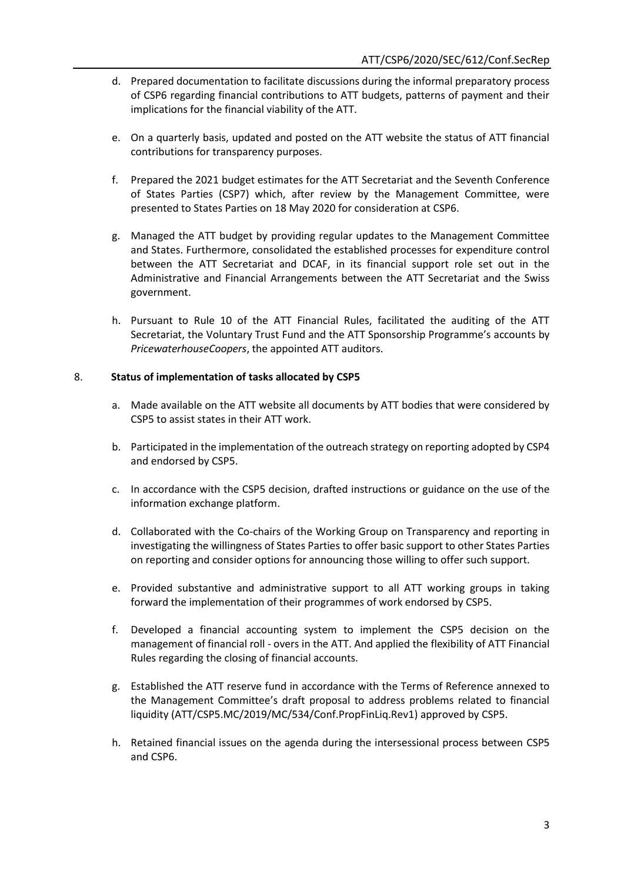- d. Prepared documentation to facilitate discussions during the informal preparatory process of CSP6 regarding financial contributions to ATT budgets, patterns of payment and their implications for the financial viability of the ATT.
- e. On a quarterly basis, updated and posted on the ATT website the status of ATT financial contributions for transparency purposes.
- f. Prepared the 2021 budget estimates for the ATT Secretariat and the Seventh Conference of States Parties (CSP7) which, after review by the Management Committee, were presented to States Parties on 18 May 2020 for consideration at CSP6.
- g. Managed the ATT budget by providing regular updates to the Management Committee and States. Furthermore, consolidated the established processes for expenditure control between the ATT Secretariat and DCAF, in its financial support role set out in the Administrative and Financial Arrangements between the ATT Secretariat and the Swiss government.
- h. Pursuant to Rule 10 of the ATT Financial Rules, facilitated the auditing of the ATT Secretariat, the Voluntary Trust Fund and the ATT Sponsorship Programme's accounts by *PricewaterhouseCoopers*, the appointed ATT auditors.

## 8. **Status of implementation of tasks allocated by CSP5**

- a. Made available on the ATT website all documents by ATT bodies that were considered by CSP5 to assist states in their ATT work.
- b. Participated in the implementation of the outreach strategy on reporting adopted by CSP4 and endorsed by CSP5.
- c. In accordance with the CSP5 decision, drafted instructions or guidance on the use of the information exchange platform.
- d. Collaborated with the Co-chairs of the Working Group on Transparency and reporting in investigating the willingness of States Parties to offer basic support to other States Parties on reporting and consider options for announcing those willing to offer such support.
- e. Provided substantive and administrative support to all ATT working groups in taking forward the implementation of their programmes of work endorsed by CSP5.
- f. Developed a financial accounting system to implement the CSP5 decision on the management of financial roll - overs in the ATT. And applied the flexibility of ATT Financial Rules regarding the closing of financial accounts.
- g. Established the ATT reserve fund in accordance with the Terms of Reference annexed to the Management Committee's draft proposal to address problems related to financial liquidity (ATT/CSP5.MC/2019/MC/534/Conf.PropFinLiq.Rev1) approved by CSP5.
- h. Retained financial issues on the agenda during the intersessional process between CSP5 and CSP6.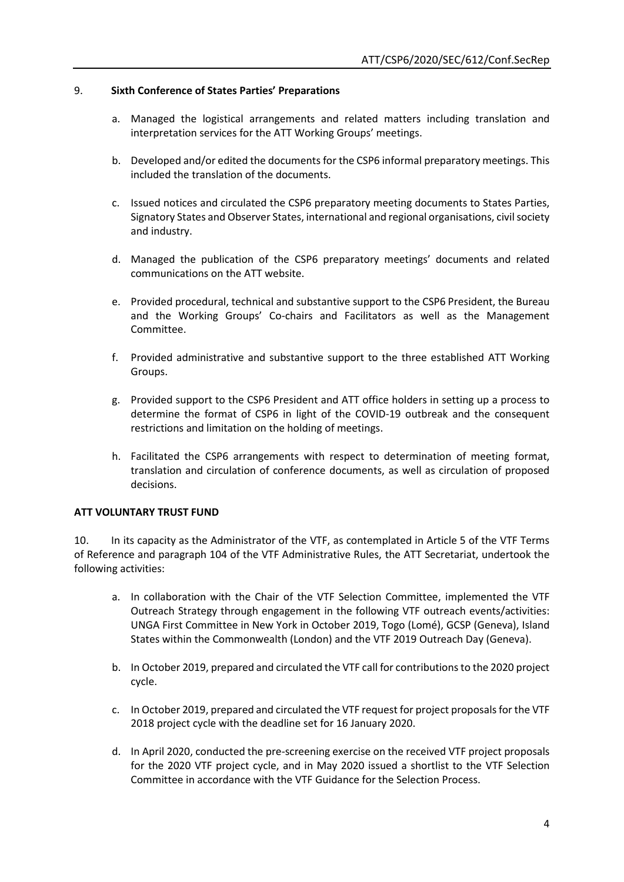## 9. **Sixth Conference of States Parties' Preparations**

- a. Managed the logistical arrangements and related matters including translation and interpretation services for the ATT Working Groups' meetings.
- b. Developed and/or edited the documents for the CSP6 informal preparatory meetings. This included the translation of the documents.
- c. Issued notices and circulated the CSP6 preparatory meeting documents to States Parties, Signatory States and Observer States, international and regional organisations, civil society and industry.
- d. Managed the publication of the CSP6 preparatory meetings' documents and related communications on the ATT website.
- e. Provided procedural, technical and substantive support to the CSP6 President, the Bureau and the Working Groups' Co-chairs and Facilitators as well as the Management Committee.
- f. Provided administrative and substantive support to the three established ATT Working Groups.
- g. Provided support to the CSP6 President and ATT office holders in setting up a process to determine the format of CSP6 in light of the COVID-19 outbreak and the consequent restrictions and limitation on the holding of meetings.
- h. Facilitated the CSP6 arrangements with respect to determination of meeting format, translation and circulation of conference documents, as well as circulation of proposed decisions.

#### **ATT VOLUNTARY TRUST FUND**

10. In its capacity as the Administrator of the VTF, as contemplated in Article 5 of the VTF Terms of Reference and paragraph 104 of the VTF Administrative Rules, the ATT Secretariat, undertook the following activities:

- a. In collaboration with the Chair of the VTF Selection Committee, implemented the VTF Outreach Strategy through engagement in the following VTF outreach events/activities: UNGA First Committee in New York in October 2019, Togo (Lomé), GCSP (Geneva), Island States within the Commonwealth (London) and the VTF 2019 Outreach Day (Geneva).
- b. In October 2019, prepared and circulated the VTF call for contributions to the 2020 project cycle.
- c. In October 2019, prepared and circulated the VTF request for project proposals for the VTF 2018 project cycle with the deadline set for 16 January 2020.
- d. In April 2020, conducted the pre-screening exercise on the received VTF project proposals for the 2020 VTF project cycle, and in May 2020 issued a shortlist to the VTF Selection Committee in accordance with the VTF Guidance for the Selection Process.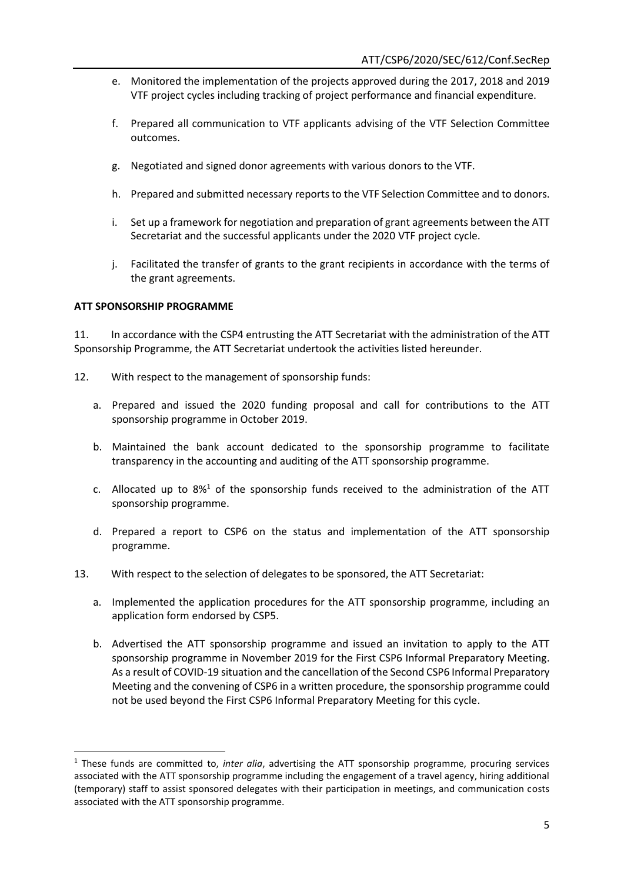- e. Monitored the implementation of the projects approved during the 2017, 2018 and 2019 VTF project cycles including tracking of project performance and financial expenditure.
- f. Prepared all communication to VTF applicants advising of the VTF Selection Committee outcomes.
- g. Negotiated and signed donor agreements with various donors to the VTF.
- h. Prepared and submitted necessary reports to the VTF Selection Committee and to donors.
- i. Set up a framework for negotiation and preparation of grant agreements between the ATT Secretariat and the successful applicants under the 2020 VTF project cycle.
- j. Facilitated the transfer of grants to the grant recipients in accordance with the terms of the grant agreements.

## **ATT SPONSORSHIP PROGRAMME**

**.** 

11. In accordance with the CSP4 entrusting the ATT Secretariat with the administration of the ATT Sponsorship Programme, the ATT Secretariat undertook the activities listed hereunder.

- 12. With respect to the management of sponsorship funds:
	- a. Prepared and issued the 2020 funding proposal and call for contributions to the ATT sponsorship programme in October 2019.
	- b. Maintained the bank account dedicated to the sponsorship programme to facilitate transparency in the accounting and auditing of the ATT sponsorship programme.
	- c. Allocated up to  $8\frac{1}{10}$  of the sponsorship funds received to the administration of the ATT sponsorship programme.
	- d. Prepared a report to CSP6 on the status and implementation of the ATT sponsorship programme.
- 13. With respect to the selection of delegates to be sponsored, the ATT Secretariat:
	- a. Implemented the application procedures for the ATT sponsorship programme, including an application form endorsed by CSP5.
	- b. Advertised the ATT sponsorship programme and issued an invitation to apply to the ATT sponsorship programme in November 2019 for the First CSP6 Informal Preparatory Meeting. As a result of COVID-19 situation and the cancellation of the Second CSP6 Informal Preparatory Meeting and the convening of CSP6 in a written procedure, the sponsorship programme could not be used beyond the First CSP6 Informal Preparatory Meeting for this cycle.

<sup>1</sup> These funds are committed to, *inter alia*, advertising the ATT sponsorship programme, procuring services associated with the ATT sponsorship programme including the engagement of a travel agency, hiring additional (temporary) staff to assist sponsored delegates with their participation in meetings, and communication costs associated with the ATT sponsorship programme.